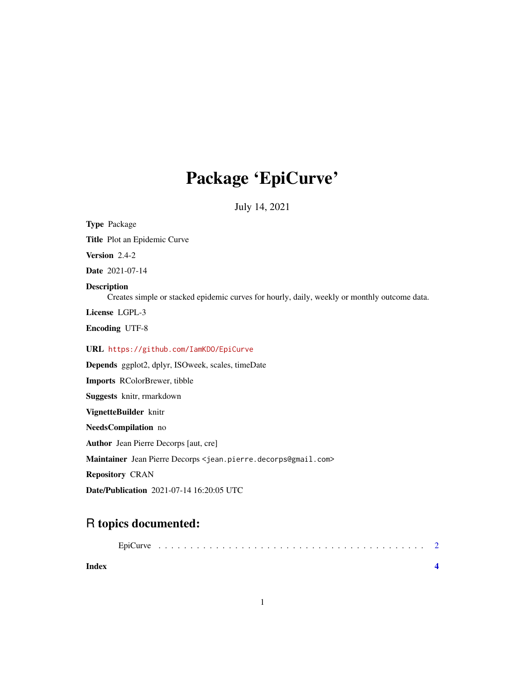## Package 'EpiCurve'

July 14, 2021

Type Package Title Plot an Epidemic Curve Version 2.4-2 Date 2021-07-14 Description Creates simple or stacked epidemic curves for hourly, daily, weekly or monthly outcome data. License LGPL-3 Encoding UTF-8 URL <https://github.com/IamKDO/EpiCurve> Depends ggplot2, dplyr, ISOweek, scales, timeDate

Imports RColorBrewer, tibble Suggests knitr, rmarkdown VignetteBuilder knitr NeedsCompilation no Author Jean Pierre Decorps [aut, cre] Maintainer Jean Pierre Decorps <jean.pierre.decorps@gmail.com> Repository CRAN Date/Publication 2021-07-14 16:20:05 UTC

### R topics documented:

| Index |  |  |  |  |  |  |  |  |  |  |  |  |  |  |  |  |  |
|-------|--|--|--|--|--|--|--|--|--|--|--|--|--|--|--|--|--|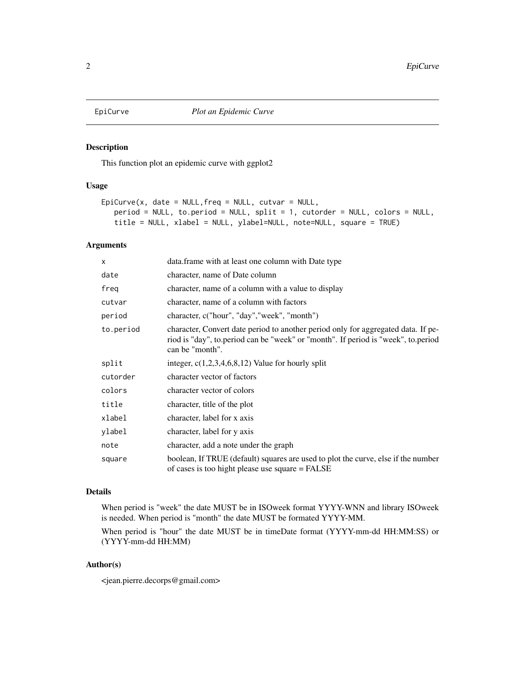<span id="page-1-0"></span>

#### Description

This function plot an epidemic curve with ggplot2

#### Usage

```
Epicurve(x, date = NULL, freq = NULL, cutvar = NULL,period = NULL, to.period = NULL, split = 1, cutorder = NULL, colors = NULL,
   title = NULL, xlabel = NULL, ylabel=NULL, note=NULL, square = TRUE)
```
#### Arguments

| $\mathsf{x}$ | data.frame with at least one column with Date type                                                                                                                                        |
|--------------|-------------------------------------------------------------------------------------------------------------------------------------------------------------------------------------------|
| date         | character, name of Date column                                                                                                                                                            |
| freg         | character, name of a column with a value to display                                                                                                                                       |
| cutvar       | character, name of a column with factors                                                                                                                                                  |
| period       | character, c("hour", "day","week", "month")                                                                                                                                               |
| to.period    | character, Convert date period to another period only for aggregated data. If pe-<br>riod is "day", to.period can be "week" or "month". If period is "week", to.period<br>can be "month". |
| split        | integer, $c(1,2,3,4,6,8,12)$ Value for hourly split                                                                                                                                       |
| cutorder     | character vector of factors                                                                                                                                                               |
| colors       | character vector of colors                                                                                                                                                                |
| title        | character, title of the plot                                                                                                                                                              |
| xlabel       | character, label for x axis                                                                                                                                                               |
| ylabel       | character, label for y axis                                                                                                                                                               |
| note         | character, add a note under the graph                                                                                                                                                     |
| square       | boolean, If TRUE (default) squares are used to plot the curve, else if the number<br>of cases is too hight please use square = FALSE                                                      |

#### Details

When period is "week" the date MUST be in ISOweek format YYYY-WNN and library ISOweek is needed. When period is "month" the date MUST be formated YYYY-MM.

When period is "hour" the date MUST be in timeDate format (YYYY-mm-dd HH:MM:SS) or (YYYY-mm-dd HH:MM)

#### Author(s)

<jean.pierre.decorps@gmail.com>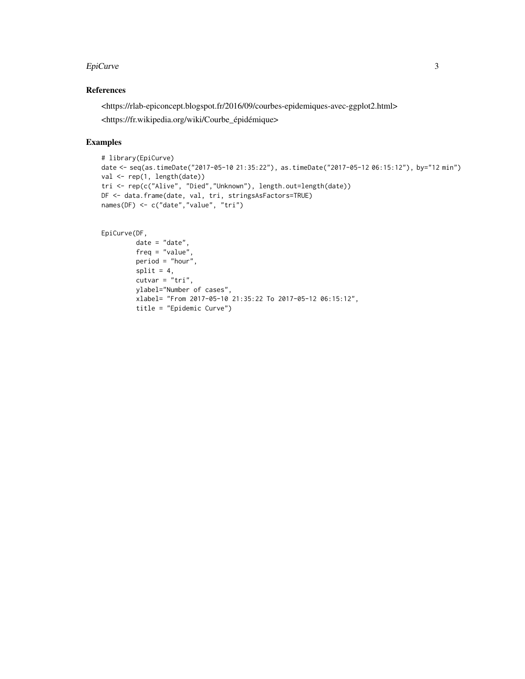#### EpiCurve 3

#### References

<https://rlab-epiconcept.blogspot.fr/2016/09/courbes-epidemiques-avec-ggplot2.html>

<https://fr.wikipedia.org/wiki/Courbe\_épidémique>

#### Examples

```
# library(EpiCurve)
date <- seq(as.timeDate("2017-05-10 21:35:22"), as.timeDate("2017-05-12 06:15:12"), by="12 min")
val <- rep(1, length(date))
tri <- rep(c("Alive", "Died","Unknown"), length.out=length(date))
DF <- data.frame(date, val, tri, stringsAsFactors=TRUE)
names(DF) <- c("date","value", "tri")
```
#### EpiCurve(DF,

```
date = "date",
freq = "value",
period = "hour",
split = 4,cutvar = "tri",
ylabel="Number of cases",
xlabel= "From 2017-05-10 21:35:22 To 2017-05-12 06:15:12",
title = "Epidemic Curve")
```